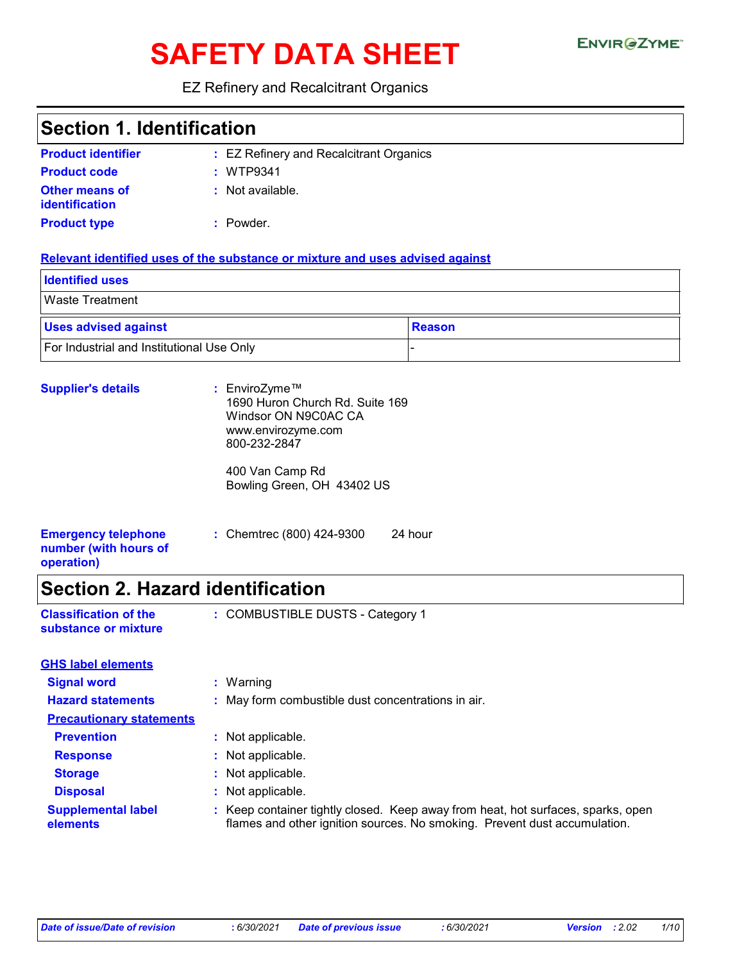# SAFETY DATA SHEET ENVIRGETMEN

#### EZ Refinery and Recalcitrant Organics

### **Section 1. Identification**

| <b>Product identifier</b>                      | : EZ Refinery and Recalcitrant Organics |
|------------------------------------------------|-----------------------------------------|
| <b>Product code</b>                            | : WTP9341                               |
| <b>Other means of</b><br><i>identification</i> | : Not available.                        |
| <b>Product type</b>                            | : Powder.                               |

#### **Relevant identified uses of the substance or mixture and uses advised against**

| <b>Identified uses</b>                    |        |
|-------------------------------------------|--------|
| <b>Waste Treatment</b>                    |        |
| <b>Uses advised against</b>               | Reason |
| For Industrial and Institutional Use Only |        |

| <b>Supplier's details</b>                                         | : EnviroZyme™<br>1690 Huron Church Rd. Suite 169<br>Windsor ON N9C0AC CA<br>www.envirozyme.com<br>800-232-2847 |  |
|-------------------------------------------------------------------|----------------------------------------------------------------------------------------------------------------|--|
|                                                                   | 400 Van Camp Rd<br>Bowling Green, OH 43402 US                                                                  |  |
| <b>Emergency telephone</b><br>number (with hours of<br>operation) | : Chemtrec (800) 424-9300<br>24 hour                                                                           |  |

# **Section 2. Hazard identification**

| <b>Classification of the</b> | : COMBUSTIBLE DUSTS - Category 1 |
|------------------------------|----------------------------------|
| substance or mixture         |                                  |

| <b>GHS label elements</b>             |                                                                                                                                                               |
|---------------------------------------|---------------------------------------------------------------------------------------------------------------------------------------------------------------|
| <b>Signal word</b>                    | $:$ Warning                                                                                                                                                   |
| <b>Hazard statements</b>              | : May form combustible dust concentrations in air.                                                                                                            |
| <b>Precautionary statements</b>       |                                                                                                                                                               |
| <b>Prevention</b>                     | : Not applicable.                                                                                                                                             |
| <b>Response</b>                       | : Not applicable.                                                                                                                                             |
| <b>Storage</b>                        | : Not applicable.                                                                                                                                             |
| <b>Disposal</b>                       | : Not applicable.                                                                                                                                             |
| <b>Supplemental label</b><br>elements | : Keep container tightly closed. Keep away from heat, hot surfaces, sparks, open<br>flames and other ignition sources. No smoking. Prevent dust accumulation. |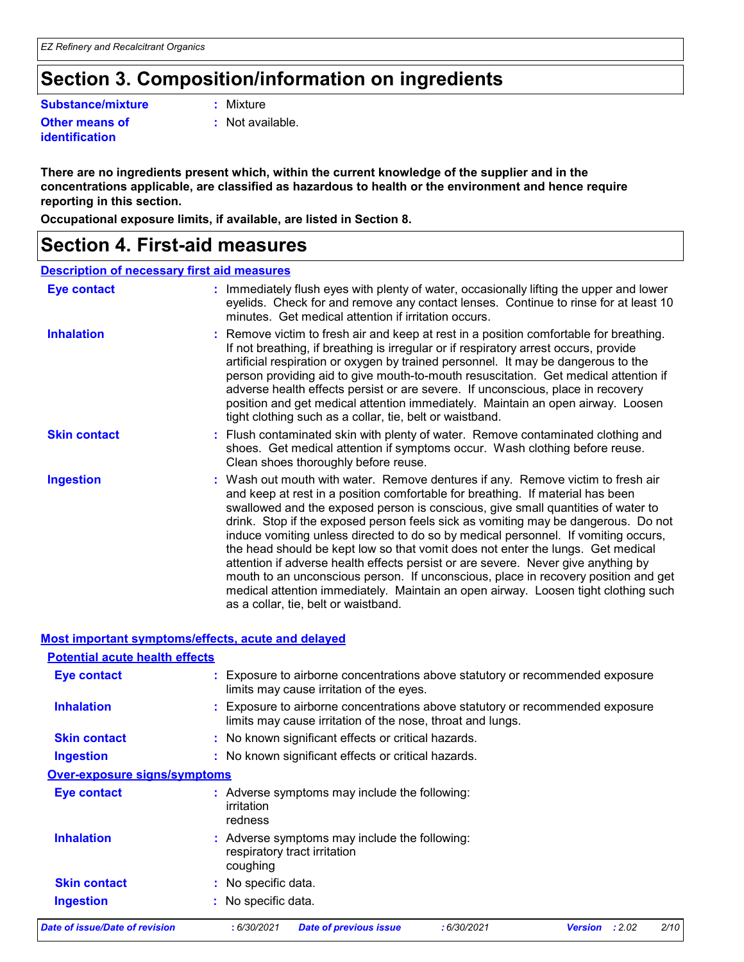## **Section 3. Composition/information on ingredients**

**Substance/mixture :**

**Other means of identification**

: Mixture

**:** Not available.

**There are no ingredients present which, within the current knowledge of the supplier and in the concentrations applicable, are classified as hazardous to health or the environment and hence require reporting in this section.**

**Occupational exposure limits, if available, are listed in Section 8.**

### **Section 4. First-aid measures**

#### **Description of necessary first aid measures**

| <b>Eye contact</b>  | : Immediately flush eyes with plenty of water, occasionally lifting the upper and lower<br>eyelids. Check for and remove any contact lenses. Continue to rinse for at least 10<br>minutes. Get medical attention if irritation occurs.                                                                                                                                                                                                                                                                                                                                                                                                                                                                                                                                                                                       |
|---------------------|------------------------------------------------------------------------------------------------------------------------------------------------------------------------------------------------------------------------------------------------------------------------------------------------------------------------------------------------------------------------------------------------------------------------------------------------------------------------------------------------------------------------------------------------------------------------------------------------------------------------------------------------------------------------------------------------------------------------------------------------------------------------------------------------------------------------------|
| <b>Inhalation</b>   | : Remove victim to fresh air and keep at rest in a position comfortable for breathing.<br>If not breathing, if breathing is irregular or if respiratory arrest occurs, provide<br>artificial respiration or oxygen by trained personnel. It may be dangerous to the<br>person providing aid to give mouth-to-mouth resuscitation. Get medical attention if<br>adverse health effects persist or are severe. If unconscious, place in recovery<br>position and get medical attention immediately. Maintain an open airway. Loosen<br>tight clothing such as a collar, tie, belt or waistband.                                                                                                                                                                                                                                 |
| <b>Skin contact</b> | : Flush contaminated skin with plenty of water. Remove contaminated clothing and<br>shoes. Get medical attention if symptoms occur. Wash clothing before reuse.<br>Clean shoes thoroughly before reuse.                                                                                                                                                                                                                                                                                                                                                                                                                                                                                                                                                                                                                      |
| <b>Ingestion</b>    | : Wash out mouth with water. Remove dentures if any. Remove victim to fresh air<br>and keep at rest in a position comfortable for breathing. If material has been<br>swallowed and the exposed person is conscious, give small quantities of water to<br>drink. Stop if the exposed person feels sick as vomiting may be dangerous. Do not<br>induce vomiting unless directed to do so by medical personnel. If vomiting occurs,<br>the head should be kept low so that vomit does not enter the lungs. Get medical<br>attention if adverse health effects persist or are severe. Never give anything by<br>mouth to an unconscious person. If unconscious, place in recovery position and get<br>medical attention immediately. Maintain an open airway. Loosen tight clothing such<br>as a collar, tie, belt or waistband. |

#### **Most important symptoms/effects, acute and delayed**

| <b>Potential acute health effects</b> |                                                                                                                                             |      |
|---------------------------------------|---------------------------------------------------------------------------------------------------------------------------------------------|------|
| Eye contact                           | : Exposure to airborne concentrations above statutory or recommended exposure<br>limits may cause irritation of the eyes.                   |      |
| <b>Inhalation</b>                     | : Exposure to airborne concentrations above statutory or recommended exposure<br>limits may cause irritation of the nose, throat and lungs. |      |
| <b>Skin contact</b>                   | : No known significant effects or critical hazards.                                                                                         |      |
| <b>Ingestion</b>                      | : No known significant effects or critical hazards.                                                                                         |      |
| <b>Over-exposure signs/symptoms</b>   |                                                                                                                                             |      |
| Eye contact                           | : Adverse symptoms may include the following:<br>irritation<br>redness                                                                      |      |
| <b>Inhalation</b>                     | : Adverse symptoms may include the following:<br>respiratory tract irritation<br>coughing                                                   |      |
| <b>Skin contact</b>                   | : No specific data.                                                                                                                         |      |
| <b>Ingestion</b>                      | : No specific data.                                                                                                                         |      |
| Date of issue/Date of revision        | : 2.02<br>:6/30/2021<br><b>Date of previous issue</b><br>: 6/30/2021<br><b>Version</b>                                                      | 2/10 |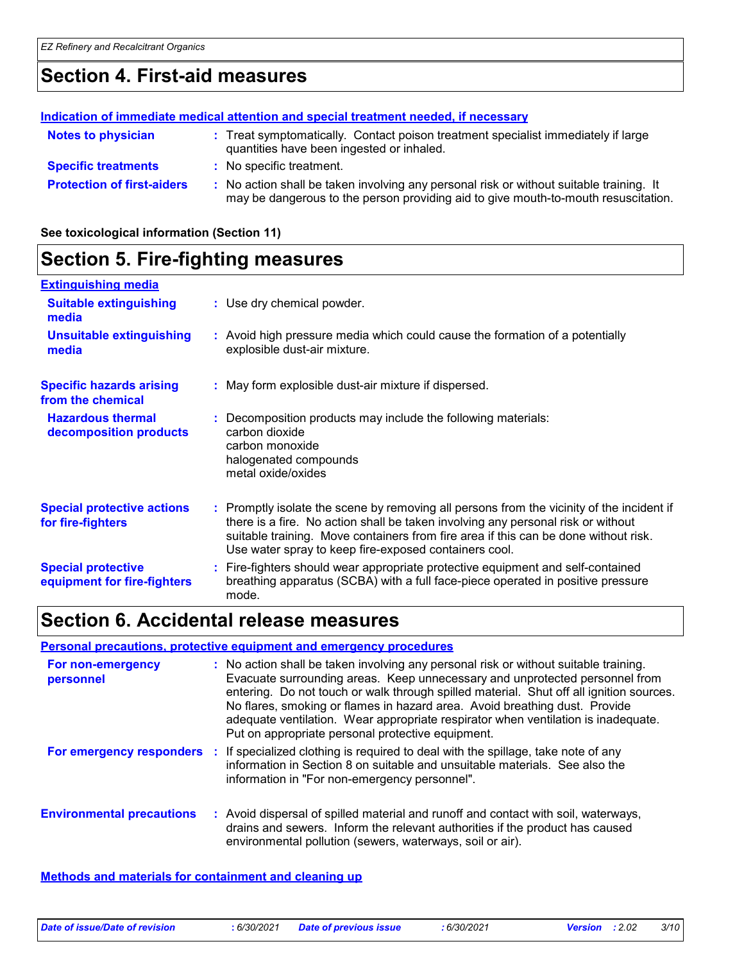### **Section 4. First-aid measures**

#### **Protection of first-aiders :** No action shall be taken involving any personal risk or without suitable training. It may be dangerous to the person providing aid to give mouth-to-mouth resuscitation. **Notes to physician <b>:** Treat symptomatically. Contact poison treatment specialist immediately if large quantities have been ingested or inhaled. **Specific treatments :** No specific treatment. **Indication of immediate medical attention and special treatment needed, if necessary**

**See toxicological information (Section 11)**

#### **Section 5. Fire-fighting measures :** Promptly isolate the scene by removing all persons from the vicinity of the incident if there is a fire. No action shall be taken involving any personal risk or without suitable training. Move containers from fire area if this can be done without risk. Use water spray to keep fire-exposed containers cool. **Hazardous thermal decomposition products Specific hazards arising from the chemical** Decomposition products may include the following materials: **:** carbon dioxide carbon monoxide halogenated compounds metal oxide/oxides May form explosible dust-air mixture if dispersed. **:** Fire-fighters should wear appropriate protective equipment and self-contained **:** breathing apparatus (SCBA) with a full face-piece operated in positive pressure mode. **Special protective equipment for fire-fighters** Use dry chemical powder. **: Extinguishing media** Avoid high pressure media which could cause the formation of a potentially **:** explosible dust-air mixture. **Suitable extinguishing media Unsuitable extinguishing media Special protective actions for fire-fighters**

### **Section 6. Accidental release measures**

#### **Personal precautions, protective equipment and emergency procedures**

| For non-emergency<br>personnel   | : No action shall be taken involving any personal risk or without suitable training.<br>Evacuate surrounding areas. Keep unnecessary and unprotected personnel from<br>entering. Do not touch or walk through spilled material. Shut off all ignition sources.<br>No flares, smoking or flames in hazard area. Avoid breathing dust. Provide<br>adequate ventilation. Wear appropriate respirator when ventilation is inadequate.<br>Put on appropriate personal protective equipment. |
|----------------------------------|----------------------------------------------------------------------------------------------------------------------------------------------------------------------------------------------------------------------------------------------------------------------------------------------------------------------------------------------------------------------------------------------------------------------------------------------------------------------------------------|
| For emergency responders         | If specialized clothing is required to deal with the spillage, take note of any<br>information in Section 8 on suitable and unsuitable materials. See also the<br>information in "For non-emergency personnel".                                                                                                                                                                                                                                                                        |
| <b>Environmental precautions</b> | : Avoid dispersal of spilled material and runoff and contact with soil, waterways,<br>drains and sewers. Inform the relevant authorities if the product has caused<br>environmental pollution (sewers, waterways, soil or air).                                                                                                                                                                                                                                                        |

#### **Methods and materials for containment and cleaning up**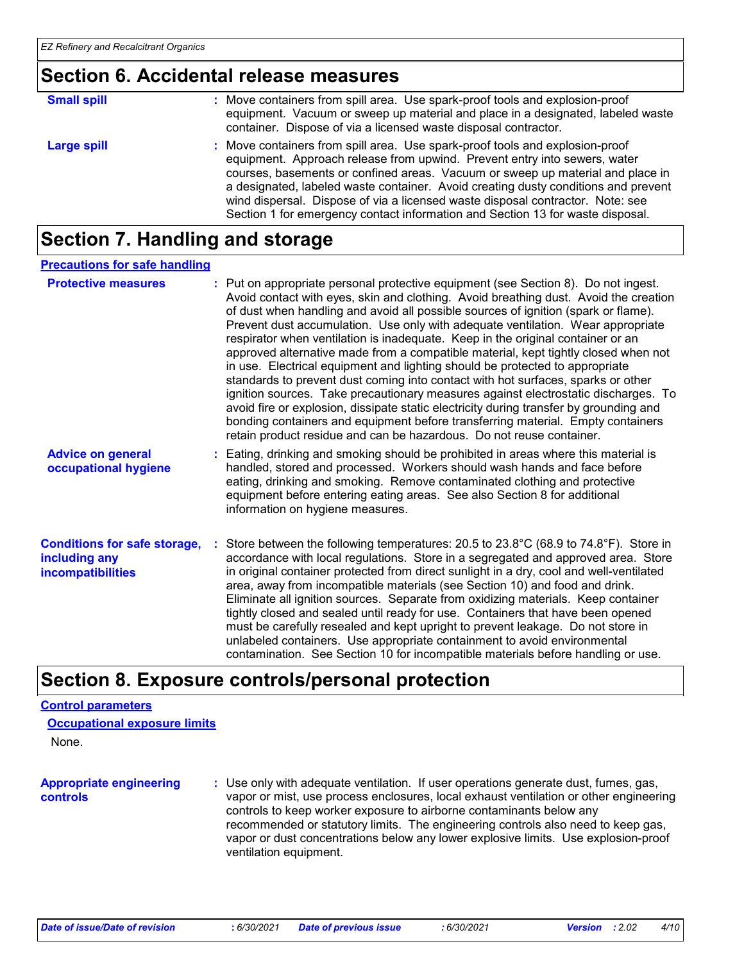### **Section 6. Accidental release measures**

| <b>Small spill</b> | : Move containers from spill area. Use spark-proof tools and explosion-proof<br>equipment. Vacuum or sweep up material and place in a designated, labeled waste<br>container. Dispose of via a licensed waste disposal contractor.                                                                                                                                                                                                                                                                    |
|--------------------|-------------------------------------------------------------------------------------------------------------------------------------------------------------------------------------------------------------------------------------------------------------------------------------------------------------------------------------------------------------------------------------------------------------------------------------------------------------------------------------------------------|
| Large spill        | : Move containers from spill area. Use spark-proof tools and explosion-proof<br>equipment. Approach release from upwind. Prevent entry into sewers, water<br>courses, basements or confined areas. Vacuum or sweep up material and place in<br>a designated, labeled waste container. Avoid creating dusty conditions and prevent<br>wind dispersal. Dispose of via a licensed waste disposal contractor. Note: see<br>Section 1 for emergency contact information and Section 13 for waste disposal. |

### **Section 7. Handling and storage**

#### **Precautions for safe handling**

| <b>Protective measures</b>                                                       | : Put on appropriate personal protective equipment (see Section 8). Do not ingest.<br>Avoid contact with eyes, skin and clothing. Avoid breathing dust. Avoid the creation<br>of dust when handling and avoid all possible sources of ignition (spark or flame).<br>Prevent dust accumulation. Use only with adequate ventilation. Wear appropriate<br>respirator when ventilation is inadequate. Keep in the original container or an<br>approved alternative made from a compatible material, kept tightly closed when not<br>in use. Electrical equipment and lighting should be protected to appropriate<br>standards to prevent dust coming into contact with hot surfaces, sparks or other<br>ignition sources. Take precautionary measures against electrostatic discharges. To<br>avoid fire or explosion, dissipate static electricity during transfer by grounding and<br>bonding containers and equipment before transferring material. Empty containers<br>retain product residue and can be hazardous. Do not reuse container. |  |
|----------------------------------------------------------------------------------|---------------------------------------------------------------------------------------------------------------------------------------------------------------------------------------------------------------------------------------------------------------------------------------------------------------------------------------------------------------------------------------------------------------------------------------------------------------------------------------------------------------------------------------------------------------------------------------------------------------------------------------------------------------------------------------------------------------------------------------------------------------------------------------------------------------------------------------------------------------------------------------------------------------------------------------------------------------------------------------------------------------------------------------------|--|
| <b>Advice on general</b><br>occupational hygiene                                 | : Eating, drinking and smoking should be prohibited in areas where this material is<br>handled, stored and processed. Workers should wash hands and face before<br>eating, drinking and smoking. Remove contaminated clothing and protective<br>equipment before entering eating areas. See also Section 8 for additional<br>information on hygiene measures.                                                                                                                                                                                                                                                                                                                                                                                                                                                                                                                                                                                                                                                                               |  |
| <b>Conditions for safe storage,</b><br>including any<br><b>incompatibilities</b> | : Store between the following temperatures: 20.5 to $23.8^{\circ}$ C (68.9 to $74.8^{\circ}$ F). Store in<br>accordance with local regulations. Store in a segregated and approved area. Store<br>in original container protected from direct sunlight in a dry, cool and well-ventilated<br>area, away from incompatible materials (see Section 10) and food and drink.<br>Eliminate all ignition sources. Separate from oxidizing materials. Keep container<br>tightly closed and sealed until ready for use. Containers that have been opened<br>must be carefully resealed and kept upright to prevent leakage. Do not store in<br>unlabeled containers. Use appropriate containment to avoid environmental<br>contamination. See Section 10 for incompatible materials before handling or use.                                                                                                                                                                                                                                         |  |

### **Section 8. Exposure controls/personal protection**

#### **Control parameters**

|  | <b>Occupational exposure limits</b> |  |  |  |
|--|-------------------------------------|--|--|--|
|--|-------------------------------------|--|--|--|

None.

```
Appropriate engineering 
controls
```
**:** Use only with adequate ventilation. If user operations generate dust, fumes, gas, vapor or mist, use process enclosures, local exhaust ventilation or other engineering controls to keep worker exposure to airborne contaminants below any recommended or statutory limits. The engineering controls also need to keep gas, vapor or dust concentrations below any lower explosive limits. Use explosion-proof ventilation equipment.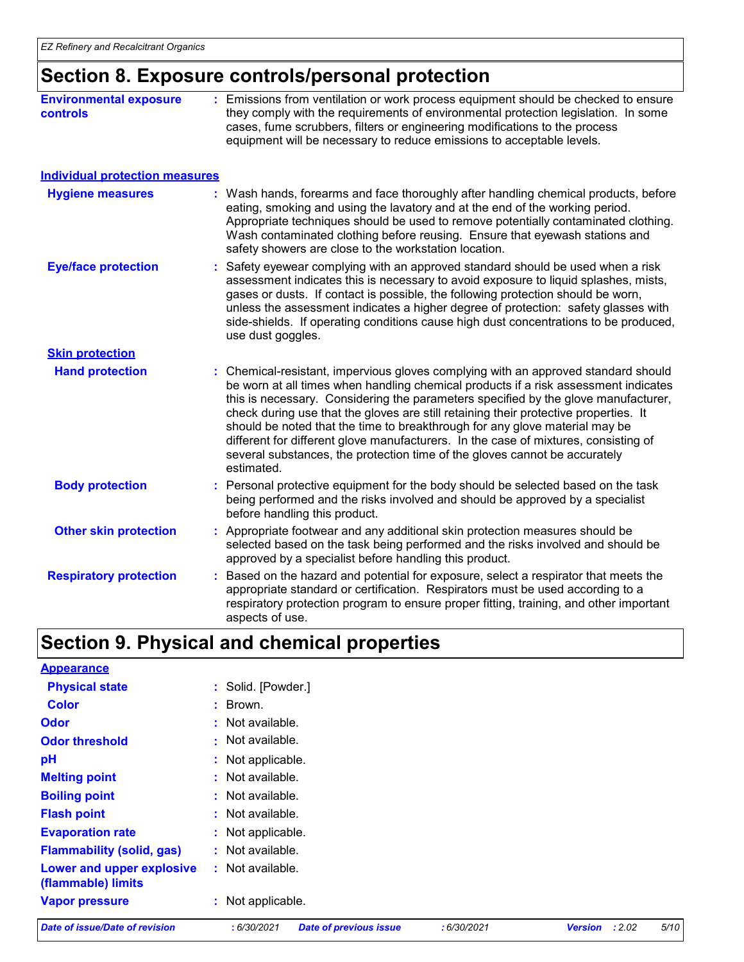### **Section 8. Exposure controls/personal protection**

| <b>Environmental exposure</b><br><b>controls</b> | : Emissions from ventilation or work process equipment should be checked to ensure<br>they comply with the requirements of environmental protection legislation. In some<br>cases, fume scrubbers, filters or engineering modifications to the process<br>equipment will be necessary to reduce emissions to acceptable levels. |
|--------------------------------------------------|---------------------------------------------------------------------------------------------------------------------------------------------------------------------------------------------------------------------------------------------------------------------------------------------------------------------------------|
| <b>Individual protection measures</b>            |                                                                                                                                                                                                                                                                                                                                 |

| <b>Hygiene measures</b>       | : Wash hands, forearms and face thoroughly after handling chemical products, before<br>eating, smoking and using the lavatory and at the end of the working period.<br>Appropriate techniques should be used to remove potentially contaminated clothing.<br>Wash contaminated clothing before reusing. Ensure that eyewash stations and<br>safety showers are close to the workstation location.                                                                                                                                                                                                                         |
|-------------------------------|---------------------------------------------------------------------------------------------------------------------------------------------------------------------------------------------------------------------------------------------------------------------------------------------------------------------------------------------------------------------------------------------------------------------------------------------------------------------------------------------------------------------------------------------------------------------------------------------------------------------------|
| <b>Eye/face protection</b>    | : Safety eyewear complying with an approved standard should be used when a risk<br>assessment indicates this is necessary to avoid exposure to liquid splashes, mists,<br>gases or dusts. If contact is possible, the following protection should be worn,<br>unless the assessment indicates a higher degree of protection: safety glasses with<br>side-shields. If operating conditions cause high dust concentrations to be produced,<br>use dust goggles.                                                                                                                                                             |
| <b>Skin protection</b>        |                                                                                                                                                                                                                                                                                                                                                                                                                                                                                                                                                                                                                           |
| <b>Hand protection</b>        | : Chemical-resistant, impervious gloves complying with an approved standard should<br>be worn at all times when handling chemical products if a risk assessment indicates<br>this is necessary. Considering the parameters specified by the glove manufacturer,<br>check during use that the gloves are still retaining their protective properties. It<br>should be noted that the time to breakthrough for any glove material may be<br>different for different glove manufacturers. In the case of mixtures, consisting of<br>several substances, the protection time of the gloves cannot be accurately<br>estimated. |
| <b>Body protection</b>        | : Personal protective equipment for the body should be selected based on the task<br>being performed and the risks involved and should be approved by a specialist<br>before handling this product.                                                                                                                                                                                                                                                                                                                                                                                                                       |
| <b>Other skin protection</b>  | : Appropriate footwear and any additional skin protection measures should be<br>selected based on the task being performed and the risks involved and should be<br>approved by a specialist before handling this product.                                                                                                                                                                                                                                                                                                                                                                                                 |
| <b>Respiratory protection</b> | Based on the hazard and potential for exposure, select a respirator that meets the<br>appropriate standard or certification. Respirators must be used according to a<br>respiratory protection program to ensure proper fitting, training, and other important<br>aspects of use.                                                                                                                                                                                                                                                                                                                                         |

## **Section 9. Physical and chemical properties**

| <b>Appearance</b>                               |                    |
|-------------------------------------------------|--------------------|
| <b>Physical state</b>                           | : Solid. [Powder.] |
| <b>Color</b>                                    | $:$ Brown.         |
| <b>Odor</b>                                     | : Not available.   |
| <b>Odor threshold</b>                           | $:$ Not available. |
| pH                                              | : Not applicable.  |
| <b>Melting point</b>                            | : Not available.   |
| <b>Boiling point</b>                            | : Not available.   |
| <b>Flash point</b>                              | $:$ Not available. |
| <b>Evaporation rate</b>                         | : Not applicable.  |
| <b>Flammability (solid, gas)</b>                | $:$ Not available. |
| Lower and upper explosive<br>(flammable) limits | $:$ Not available. |
| <b>Vapor pressure</b>                           | : Not applicable.  |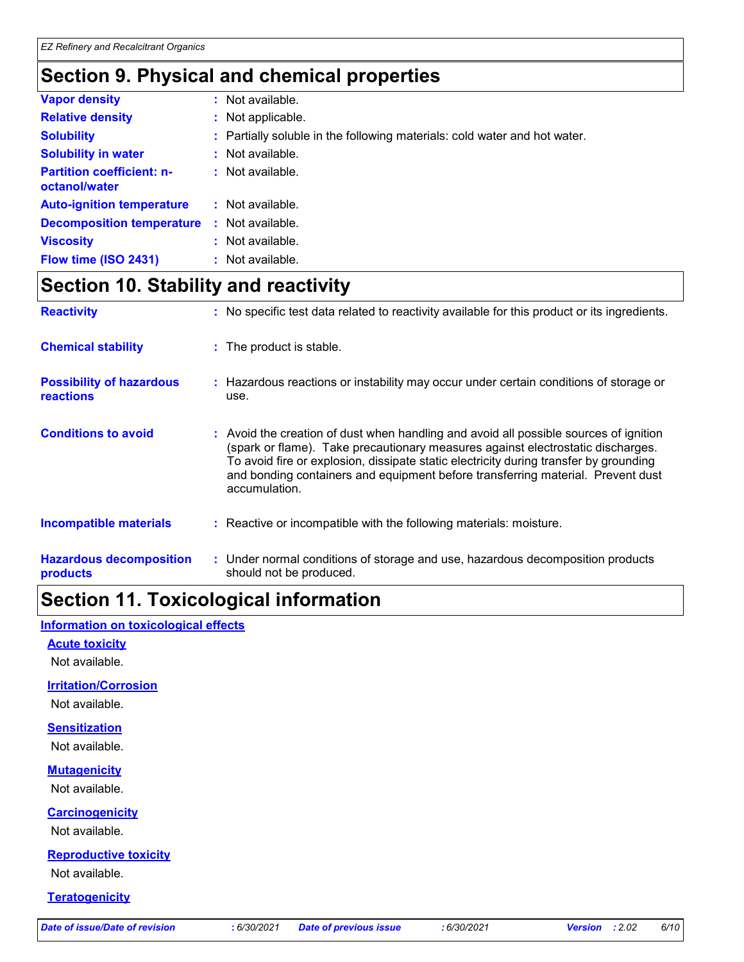# **Section 9. Physical and chemical properties**

| <b>Vapor density</b>                              | : Not available.                                                          |
|---------------------------------------------------|---------------------------------------------------------------------------|
| <b>Relative density</b>                           | : Not applicable.                                                         |
| <b>Solubility</b>                                 | : Partially soluble in the following materials: cold water and hot water. |
| <b>Solubility in water</b>                        | : Not available.                                                          |
| <b>Partition coefficient: n-</b><br>octanol/water | $:$ Not available.                                                        |
| <b>Auto-ignition temperature</b>                  | : Not available.                                                          |
| <b>Decomposition temperature</b>                  | : Not available.                                                          |
| <b>Viscosity</b>                                  | : Not available.                                                          |
| Flow time (ISO 2431)                              | : Not available.                                                          |

### **Section 10. Stability and reactivity**

| <b>Reactivity</b>                                   | : No specific test data related to reactivity available for this product or its ingredients.                                                                                                                                                                                                                                                                          |
|-----------------------------------------------------|-----------------------------------------------------------------------------------------------------------------------------------------------------------------------------------------------------------------------------------------------------------------------------------------------------------------------------------------------------------------------|
| <b>Chemical stability</b>                           | : The product is stable.                                                                                                                                                                                                                                                                                                                                              |
| <b>Possibility of hazardous</b><br><b>reactions</b> | : Hazardous reactions or instability may occur under certain conditions of storage or<br>use.                                                                                                                                                                                                                                                                         |
| <b>Conditions to avoid</b>                          | : Avoid the creation of dust when handling and avoid all possible sources of ignition<br>(spark or flame). Take precautionary measures against electrostatic discharges.<br>To avoid fire or explosion, dissipate static electricity during transfer by grounding<br>and bonding containers and equipment before transferring material. Prevent dust<br>accumulation. |
| <b>Incompatible materials</b>                       | : Reactive or incompatible with the following materials: moisture.                                                                                                                                                                                                                                                                                                    |
| <b>Hazardous decomposition</b><br>products          | : Under normal conditions of storage and use, hazardous decomposition products<br>should not be produced.                                                                                                                                                                                                                                                             |

# **Section 11. Toxicological information**

**Information on toxicological effects**

#### **Acute toxicity**

Not available.

#### **Irritation/Corrosion**

Not available.

#### **Sensitization**

Not available.

#### **Mutagenicity**

Not available.

#### **Carcinogenicity**

Not available.

#### **Reproductive toxicity**

Not available.

#### **Teratogenicity**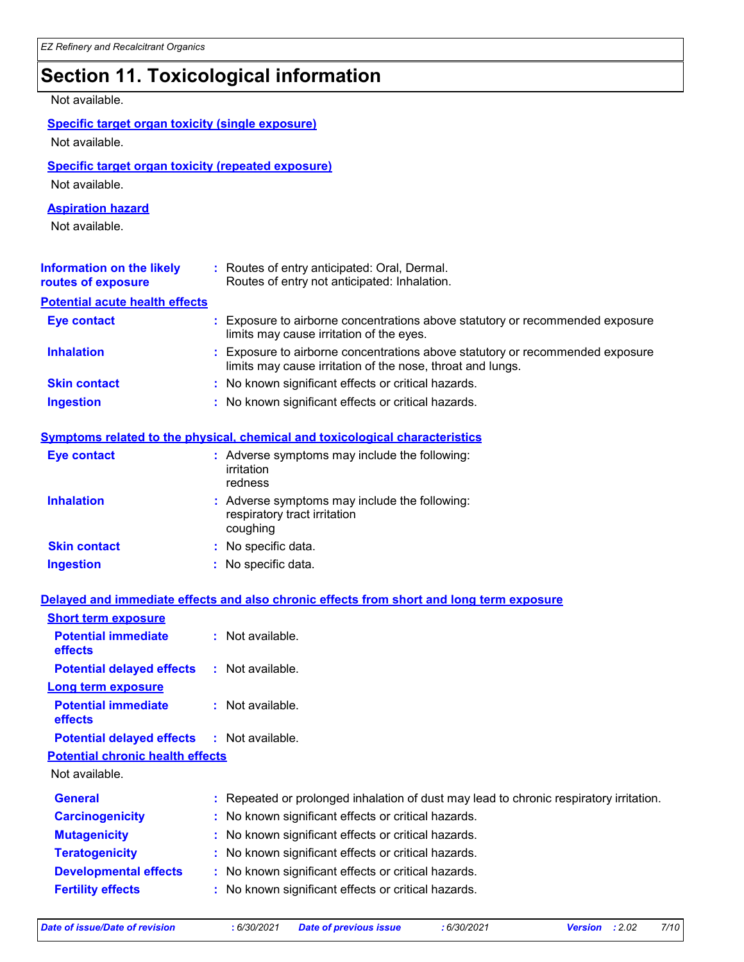# **Section 11. Toxicological information**

#### Not available.

#### **Specific target organ toxicity (single exposure)** Not available.

#### **Specific target organ toxicity (repeated exposure)**

Not available.

#### **Aspiration hazard**

Not available.

| Information on the likely<br>routes of exposure | : Routes of entry anticipated: Oral, Dermal.<br>Routes of entry not anticipated: Inhalation.                                                |
|-------------------------------------------------|---------------------------------------------------------------------------------------------------------------------------------------------|
| <b>Potential acute health effects</b>           |                                                                                                                                             |
| <b>Eye contact</b>                              | : Exposure to airborne concentrations above statutory or recommended exposure<br>limits may cause irritation of the eyes.                   |
| <b>Inhalation</b>                               | : Exposure to airborne concentrations above statutory or recommended exposure<br>limits may cause irritation of the nose, throat and lungs. |
| <b>Skin contact</b>                             | : No known significant effects or critical hazards.                                                                                         |
| <b>Ingestion</b>                                | : No known significant effects or critical hazards.                                                                                         |

#### **Symptoms related to the physical, chemical and toxicological characteristics**

| <b>Eye contact</b>  | : Adverse symptoms may include the following:<br>irritation<br>redness                    |
|---------------------|-------------------------------------------------------------------------------------------|
| <b>Inhalation</b>   | : Adverse symptoms may include the following:<br>respiratory tract irritation<br>coughing |
| <b>Skin contact</b> | : No specific data.                                                                       |
| <b>Ingestion</b>    | : No specific data.                                                                       |

#### **Delayed and immediate effects and also chronic effects from short and long term exposure**

| <b>Short term exposure</b>                        |                                                                                        |
|---------------------------------------------------|----------------------------------------------------------------------------------------|
| <b>Potential immediate</b><br><b>effects</b>      | $:$ Not available.                                                                     |
| <b>Potential delayed effects</b>                  | : Not available.                                                                       |
| <b>Long term exposure</b>                         |                                                                                        |
| <b>Potential immediate</b><br><b>effects</b>      | $:$ Not available.                                                                     |
| <b>Potential delayed effects : Not available.</b> |                                                                                        |
| <b>Potential chronic health effects</b>           |                                                                                        |
| Not available.                                    |                                                                                        |
| <b>General</b>                                    | : Repeated or prolonged inhalation of dust may lead to chronic respiratory irritation. |
| <b>Carcinogenicity</b>                            | : No known significant effects or critical hazards.                                    |
| <b>Mutagenicity</b>                               | : No known significant effects or critical hazards.                                    |
| <b>Teratogenicity</b>                             | : No known significant effects or critical hazards.                                    |
| <b>Developmental effects</b>                      | : No known significant effects or critical hazards.                                    |
| <b>Fertility effects</b>                          | : No known significant effects or critical hazards.                                    |
|                                                   |                                                                                        |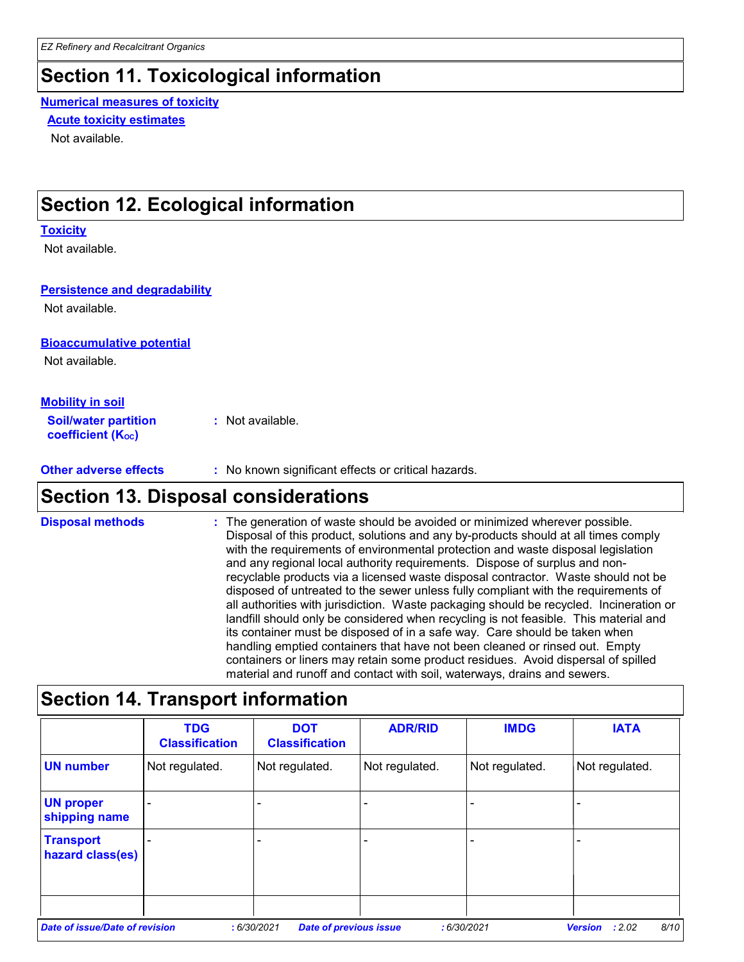# **Section 11. Toxicological information**

### **Numerical measures of toxicity**

**Acute toxicity estimates**

Not available.

### **Section 12. Ecological information**

#### **Toxicity**

Not available.

#### **Persistence and degradability**

Not available.

#### **Bioaccumulative potential**

Not available.

#### **Mobility in soil**

**Soil/water partition coefficient (KOC) :** Not available.

**Other adverse effects** : No known significant effects or critical hazards.

### **Section 13. Disposal considerations**

**Disposal methods :**

The generation of waste should be avoided or minimized wherever possible. Disposal of this product, solutions and any by-products should at all times comply with the requirements of environmental protection and waste disposal legislation and any regional local authority requirements. Dispose of surplus and nonrecyclable products via a licensed waste disposal contractor. Waste should not be disposed of untreated to the sewer unless fully compliant with the requirements of all authorities with jurisdiction. Waste packaging should be recycled. Incineration or landfill should only be considered when recycling is not feasible. This material and its container must be disposed of in a safe way. Care should be taken when handling emptied containers that have not been cleaned or rinsed out. Empty containers or liners may retain some product residues. Avoid dispersal of spilled material and runoff and contact with soil, waterways, drains and sewers.

### **Section 14. Transport information**

|                                       | <b>TDG</b><br><b>Classification</b> | <b>DOT</b><br><b>Classification</b>         | <b>ADR/RID</b> | <b>IMDG</b>    | <b>IATA</b>                      |
|---------------------------------------|-------------------------------------|---------------------------------------------|----------------|----------------|----------------------------------|
| <b>UN number</b>                      | Not regulated.                      | Not regulated.                              | Not regulated. | Not regulated. | Not regulated.                   |
| <b>UN proper</b><br>shipping name     |                                     |                                             |                |                |                                  |
| <b>Transport</b><br>hazard class(es)  |                                     |                                             |                |                |                                  |
| <b>Date of issue/Date of revision</b> |                                     | :6/30/2021<br><b>Date of previous issue</b> |                | :6/30/2021     | 8/10<br>: 2.02<br><b>Version</b> |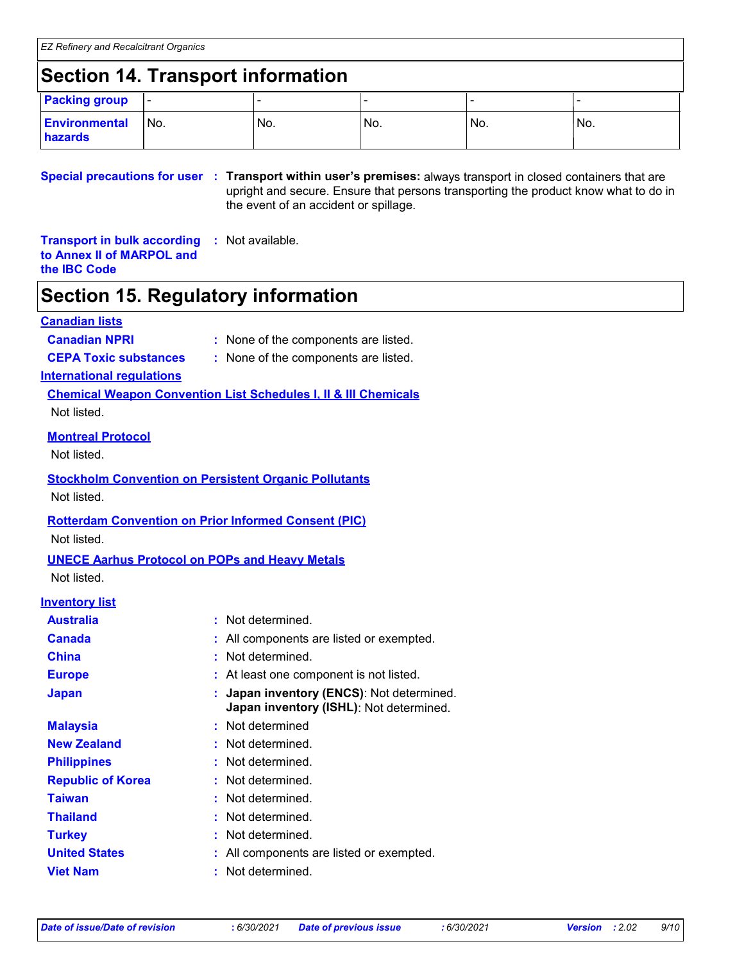### **Section 14. Transport information**

| <b>Packing group</b>            | $\overline{\phantom{a}}$ |     |     |     |      |
|---------------------------------|--------------------------|-----|-----|-----|------|
| <b>Environmental</b><br>hazards | 'No.                     | No. | No. | No. | 'No. |

**Special precautions for user Transport within user's premises:** always transport in closed containers that are **:** upright and secure. Ensure that persons transporting the product know what to do in the event of an accident or spillage.

**Transport in bulk according :** Not available. **to Annex II of MARPOL and the IBC Code**

### **Section 15. Regulatory information**

#### **Canadian lists**

- **Canadian NPRI :** None of the components are listed.
- **CEPA Toxic substances :** None of the components are listed.

#### **International regulations**

**Chemical Weapon Convention List Schedules I, II & III Chemicals** Not listed.

#### **Montreal Protocol**

Not listed.

# **Stockholm Convention on Persistent Organic Pollutants**

Not listed.

#### **Rotterdam Convention on Prior Informed Consent (PIC)**

Not listed.

## **UNECE Aarhus Protocol on POPs and Heavy Metals**

Not listed.

#### **Inventory list**

| <b>Australia</b>         | : Not determined.                                                                  |
|--------------------------|------------------------------------------------------------------------------------|
| <b>Canada</b>            | : All components are listed or exempted.                                           |
| <b>China</b>             | Not determined.                                                                    |
| <b>Europe</b>            | : At least one component is not listed.                                            |
| <b>Japan</b>             | Japan inventory (ENCS): Not determined.<br>Japan inventory (ISHL): Not determined. |
| <b>Malaysia</b>          | : Not determined                                                                   |
| <b>New Zealand</b>       | : Not determined.                                                                  |
| <b>Philippines</b>       | : Not determined.                                                                  |
| <b>Republic of Korea</b> | : Not determined.                                                                  |
| Taiwan                   | : Not determined.                                                                  |
| <b>Thailand</b>          | Not determined.                                                                    |
| <b>Turkey</b>            | : Not determined.                                                                  |
| <b>United States</b>     | : All components are listed or exempted.                                           |
| <b>Viet Nam</b>          | Not determined.                                                                    |